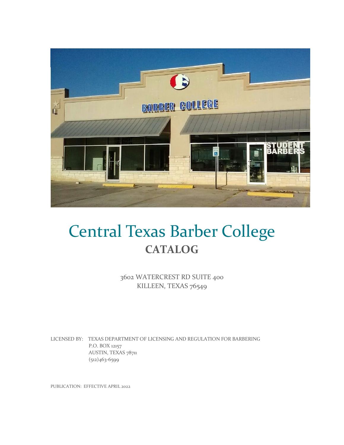

# Central Texas Barber College **CATALOG**

3602 WATERCREST RD SUITE 400 KILLEEN, TEXAS 76549

LICENSED BY: TEXAS DEPARTMENT OF LICENSING AND REGULATION FOR BARBERING P.O. BOX 12157 AUSTIN, TEXAS 78711 (512)463-6599

PUBLICATION: EFFECTIVE APRIL 2022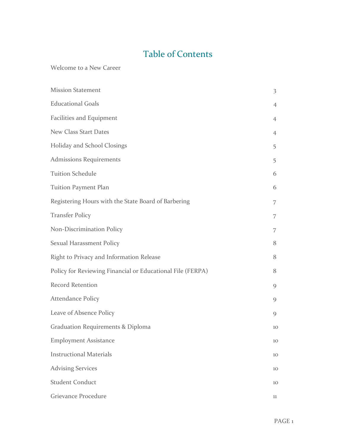# Table of Contents

Welcome to a New Career

| <b>Mission Statement</b>                                   | $\overline{\mathbf{3}}$ |
|------------------------------------------------------------|-------------------------|
| <b>Educational Goals</b>                                   | $\overline{4}$          |
| Facilities and Equipment                                   | 4                       |
| New Class Start Dates                                      | 4                       |
| Holiday and School Closings                                | 5                       |
| <b>Admissions Requirements</b>                             | 5                       |
| <b>Tuition Schedule</b>                                    | 6                       |
| Tuition Payment Plan                                       | 6                       |
| Registering Hours with the State Board of Barbering        | 7                       |
| <b>Transfer Policy</b>                                     | 7                       |
| Non-Discrimination Policy                                  | 7                       |
| Sexual Harassment Policy                                   | 8                       |
| Right to Privacy and Information Release                   | 8                       |
| Policy for Reviewing Financial or Educational File (FERPA) | 8                       |
| <b>Record Retention</b>                                    | 9                       |
| <b>Attendance Policy</b>                                   | 9                       |
| Leave of Absence Policy                                    | 9                       |
| Graduation Requirements & Diploma                          | 10                      |
| <b>Employment Assistance</b>                               | 10                      |
| <b>Instructional Materials</b>                             | 10                      |
| <b>Advising Services</b>                                   | 10                      |
| <b>Student Conduct</b>                                     | 10                      |
| Grievance Procedure                                        | 11                      |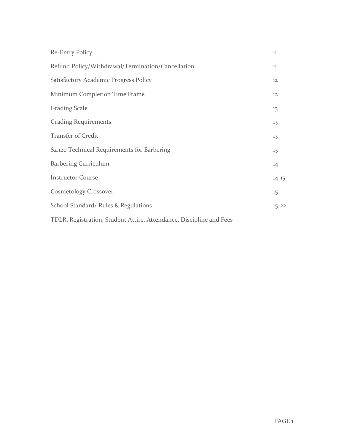| Re-Entry Policy                                                     | 11        |
|---------------------------------------------------------------------|-----------|
| Refund Policy/Withdrawal/Termination/Cancellation                   | 11        |
| Satisfactory Academic Progress Policy                               | 12        |
| Minimum Completion Time Frame                                       | 12        |
| <b>Grading Scale</b>                                                | 13        |
| <b>Grading Requirements</b>                                         | 13        |
| <b>Transfer of Credit</b>                                           | 13        |
| 82.120 Technical Requirements for Barbering                         | 13        |
| <b>Barbering Curriculum</b>                                         | 14        |
| <b>Instructor Course</b>                                            | $14 - 15$ |
| <b>Cosmetology Crossover</b>                                        | 15        |
| School Standard/ Rules & Regulations                                | $15 - 22$ |
| TDLR, Registration, Student Attire, Attendance, Discipline and Fees |           |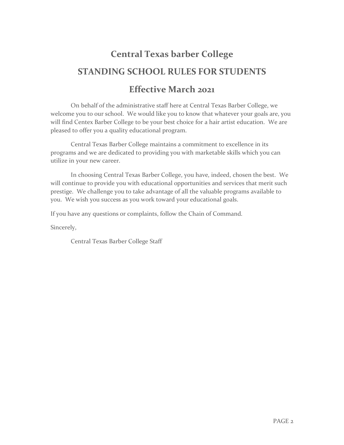# **Central Texas barber College STANDING SCHOOL RULES FOR STUDENTS**

# **Effective March 2021**

On behalf of the administrative staff here at Central Texas Barber College, we welcome you to our school. We would like you to know that whatever your goals are, you will find Centex Barber College to be your best choice for a hair artist education. We are pleased to offer you a quality educational program.

Central Texas Barber College maintains a commitment to excellence in its programs and we are dedicated to providing you with marketable skills which you can utilize in your new career.

In choosing Central Texas Barber College, you have, indeed, chosen the best. We will continue to provide you with educational opportunities and services that merit such prestige. We challenge you to take advantage of all the valuable programs available to you. We wish you success as you work toward your educational goals.

If you have any questions or complaints, follow the Chain of Command.

Sincerely,

Central Texas Barber College Staff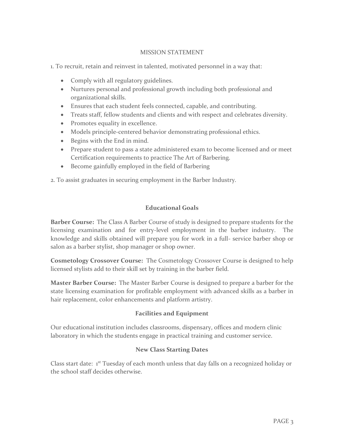### MISSION STATEMENT

1. To recruit, retain and reinvest in talented, motivated personnel in a way that:

- Comply with all regulatory guidelines.
- Nurtures personal and professional growth including both professional and organizational skills.
- Ensures that each student feels connected, capable, and contributing.
- Treats staff, fellow students and clients and with respect and celebrates diversity.
- Promotes equality in excellence.
- Models principle-centered behavior demonstrating professional ethics.
- Begins with the End in mind.
- Prepare student to pass a state administered exam to become licensed and or meet Certification requirements to practice The Art of Barbering.
- Become gainfully employed in the field of Barbering

2. To assist graduates in securing employment in the Barber Industry.

### **Educational Goals**

**Barber Course:** The Class A Barber Course of study is designed to prepare students for the licensing examination and for entry-level employment in the barber industry. The knowledge and skills obtained will prepare you for work in a full- service barber shop or salon as a barber stylist, shop manager or shop owner.

**Cosmetology Crossover Course:** The Cosmetology Crossover Course is designed to help licensed stylists add to their skill set by training in the barber field.

**Master Barber Course:** The Master Barber Course is designed to prepare a barber for the state licensing examination for profitable employment with advanced skills as a barber in hair replacement, color enhancements and platform artistry.

#### **Facilities and Equipment**

Our educational institution includes classrooms, dispensary, offices and modern clinic laboratory in which the students engage in practical training and customer service.

#### **New Class Starting Dates**

Class start date: 1<sup>st</sup> Tuesday of each month unless that day falls on a recognized holiday or the school staff decides otherwise.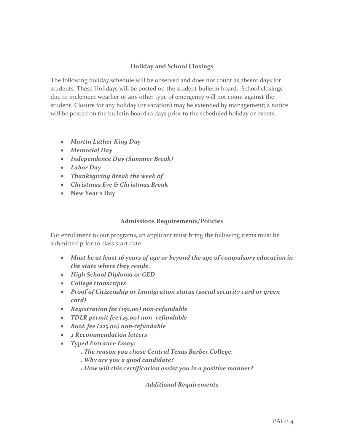# **Holiday and School Closings**

The following holiday schedule will be observed and does not count as absent days for students. These Holidays will be posted on the student bulletin board. School closings due to inclement weather or any other type of emergency will not count against the student. Closure for any holiday (or vacation) may be extended by management; a notice will be posted on the bulletin board 10 days prior to the scheduled holiday or events.

- *Martin Luther King Day*
- *Memorial Day*
- *Independence Day (Summer Break)*
- *Labor Day*
- *Thanksgiving Break the week of*
- *Christmas Eve & Christmas Break*
- **New Year's Day**

#### **Admissions Requirements/Policies**

For enrollment to our programs, an applicant must bring the following items must be submitted prior to class start date.

- *Must be at least 16 years of age or beyond the age of compulsory education in the state where they reside.*
- *High School Diploma or GED*
- *College transcripts*
- *Proof of Citizenship or Immigration status (social security card or green card)*
- *Registration fee (150.00) non-refundable*
- *TDLR permit fee (25.00) non- refundable*
- *Book fee (225.00) non-refundable*
- *2 Recommendation letters*
- *Typed Entrance Essay:*
	- *. The reason you chose Central Texas Barber College.*
	- *. Why are you a good candidate?*
	- *. How will this certification assist you in a positive manner?*

*Additional Requirements*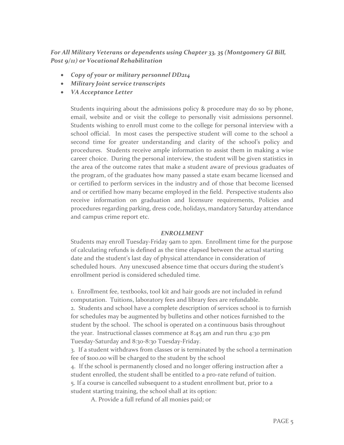*For All Military Veterans or dependents using Chapter 33, 35 (Montgomery GI Bill, Post 9/11) or Vocational Rehabilitation*

- *Copy of your or military personnel DD214*
- *Military Joint service transcripts*
- *VA Acceptance Letter*

Students inquiring about the admissions policy & procedure may do so by phone, email, website and or visit the college to personally visit admissions personnel. Students wishing to enroll must come to the college for personal interview with a school official. In most cases the perspective student will come to the school a second time for greater understanding and clarity of the school's policy and procedures. Students receive ample information to assist them in making a wise career choice. During the personal interview, the student will be given statistics in the area of the outcome rates that make a student aware of previous graduates of the program, of the graduates how many passed a state exam became licensed and or certified to perform services in the industry and of those that become licensed and or certified how many became employed in the field. Perspective students also receive information on graduation and licensure requirements, Policies and procedures regarding parking, dress code, holidays, mandatory Saturday attendance and campus crime report etc.

#### *ENROLLMENT*

Students may enroll Tuesday-Friday 9am to 2pm. Enrollment time for the purpose of calculating refunds is defined as the time elapsed between the actual starting date and the student's last day of physical attendance in consideration of scheduled hours. Any unexcused absence time that occurs during the student's enrollment period is considered scheduled time.

1. Enrollment fee, textbooks, tool kit and hair goods are not included in refund computation. Tuitions, laboratory fees and library fees are refundable.

2. Students and school have a complete description of services school is to furnish for schedules may be augmented by bulletins and other notices furnished to the student by the school. The school is operated on a continuous basis throughout the year. Instructional classes commence at 8:45 am and run thru 4:30 pm Tuesday-Saturday and 8:30-8:30 Tuesday-Friday.

3. If a student withdraws from classes or is terminated by the school a termination fee of \$100.00 will be charged to the student by the school

4. If the school is permanently closed and no longer offering instruction after a student enrolled, the student shall be entitled to a pro-rate refund of tuition. 5. If a course is cancelled subsequent to a student enrollment but, prior to a student starting training, the school shall at its option:

A. Provide a full refund of all monies paid; or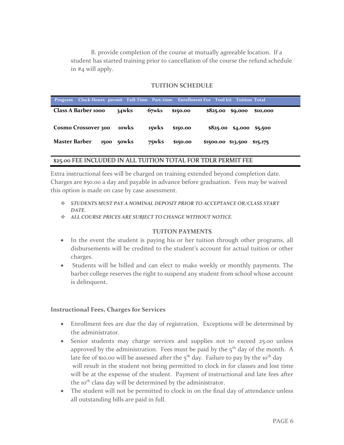B. provide completion of the course at mutually agreeable location. If a student has started training prior to cancellation of the course the refund schedule in #4 will apply.

#### **TUITION SCHEDULE**

| Program Clock Hours permit Full-Time Part-time Enrollment Fee Tool kit Tuition Total |            |          |          |                                     |          |
|--------------------------------------------------------------------------------------|------------|----------|----------|-------------------------------------|----------|
| Class A Barber 1000                                                                  | $34w$ ks   | 67wks    | \$150.00 | $$825.00$ \$9,000                   | \$10,000 |
| <b>Cosmo Crossover 300</b>                                                           | 10wks      | 15wks    | \$150.00 | $$825.00 \quad $4,000 \quad $5,500$ |          |
| Master Barber                                                                        | 1500 50wks | $75w$ ks | \$150.00 | \$1500.00 \$13,500                  | \$15,175 |

#### \$25.00 FEE INCLUDED IN ALL TUITION TOTAL FOR TDLR PERMIT FEE

Extra instructional fees will be charged on training extended beyond completion date. Charges are \$50.00 a day and payable in advance before graduation. Fees may be waived this option is made on case by case assessment.

- *STUDENTS MUST PAY A NOMINAL DEPOSIT PRIOR TO ACCEPTANCE OR/CLASS START DATE.*
- *ALL COURSE PRICES ARE SUBJECT TO CHANGE WITHOUT NOTICE.*

#### **TUITON PAYMENTS**

- In the event the student is paying his or her tuition through other programs, all disbursements will be credited to the student's account for actual tuition or other charges.
- Students will be billed and can elect to make weekly or monthly payments. The barber college reserves the right to suspend any student from school whose account is delinquent.

#### **Instructional Fees, Charges for Services**

- Enrollment fees are due the day of registration. Exceptions will be determined by the administrator.
- Senior students may charge services and supplies not to exceed 25.00 unless approved by the administration. Fees must be paid by the  $5<sup>th</sup>$  day of the month. A late fee of \$10.00 will be assessed after the  $5<sup>th</sup>$  day. Failure to pay by the 10<sup>th</sup> day will result in the student not being permitted to clock in for classes and lost time will be at the expense of the student. Payment of instructional and late fees after the 10<sup>th</sup> class day will be determined by the administrator.
- The student will not be permitted to clock in on the final day of attendance unless all outstanding bills are paid in full.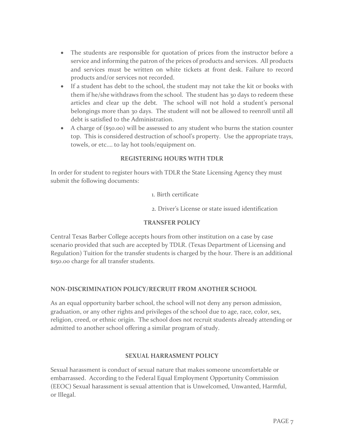- The students are responsible for quotation of prices from the instructor before a service and informing the patron of the prices of products and services. All products and services must be written on white tickets at front desk. Failure to record products and/or services not recorded.
- If a student has debt to the school, the student may not take the kit or books with them if he/she withdraws from the school. The student has 30 days to redeem these articles and clear up the debt. The school will not hold a student's personal belongings more than 30 days. The student will not be allowed to reenroll until all debt is satisfied to the Administration.
- A charge of (\$50.00) will be assessed to any student who burns the station counter top. This is considered destruction of school's property. Use the appropriate trays, towels, or etc.… to lay hot tools/equipment on.

# **REGISTERING HOURS WITH TDLR**

In order for student to register hours with TDLR the State Licensing Agency they must submit the following documents:

1. Birth certificate

2. Driver's License or state issued identification

# **TRANSFER POLICY**

Central Texas Barber College accepts hours from other institution on a case by case scenario provided that such are accepted by TDLR. (Texas Department of Licensing and Regulation) Tuition for the transfer students is charged by the hour. There is an additional \$150.00 charge for all transfer students.

# **NON-DISCRIMINATION POLICY/RECRUIT FROM ANOTHER SCHOOL**

As an equal opportunity barber school, the school will not deny any person admission, graduation, or any other rights and privileges of the school due to age, race, color, sex, religion, creed, or ethnic origin. The school does not recruit students already attending or admitted to another school offering a similar program of study.

#### **SEXUAL HARRASMENT POLICY**

Sexual harassment is conduct of sexual nature that makes someone uncomfortable or embarrassed. According to the Federal Equal Employment Opportunity Commission (EEOC) Sexual harassment is sexual attention that is Unwelcomed, Unwanted, Harmful, or Illegal.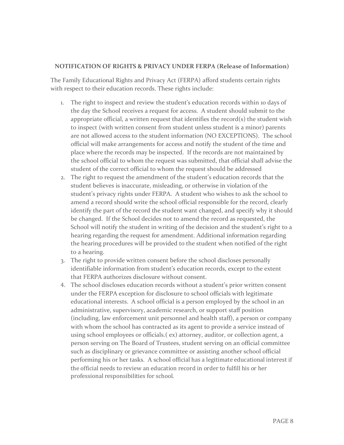### **NOTIFICATION OF RIGHTS & PRIVACY UNDER FERPA (Release of Information)**

The Family Educational Rights and Privacy Act (FERPA) afford students certain rights with respect to their education records. These rights include:

- 1. The right to inspect and review the student's education records within 10 days of the day the School receives a request for access. A student should submit to the appropriate official, a written request that identifies the record(s) the student wish to inspect (with written consent from student unless student is a minor) parents are not allowed access to the student information (NO EXCEPTIONS). The school official will make arrangements for access and notify the student of the time and place where the records may be inspected. If the records are not maintained by the school official to whom the request was submitted, that official shall advise the student of the correct official to whom the request should be addressed
- 2. The right to request the amendment of the student's education records that the student believes is inaccurate, misleading, or otherwise in violation of the student's privacy rights under FERPA. A student who wishes to ask the school to amend a record should write the school official responsible for the record, clearly identify the part of the record the student want changed, and specify why it should be changed. If the School decides not to amend the record as requested, the School will notify the student in writing of the decision and the student's right to a hearing regarding the request for amendment. Additional information regarding the hearing procedures will be provided to the student when notified of the right to a hearing.
- 3. The right to provide written consent before the school discloses personally identifiable information from student's education records, except to the extent that FERPA authorizes disclosure without consent.
- 4. The school discloses education records without a student's prior written consent under the FERPA exception for disclosure to school officials with legitimate educational interests. A school official is a person employed by the school in an administrative, supervisory, academic research, or support staff position (including, law enforcement unit personnel and health staff), a person or company with whom the school has contracted as its agent to provide a service instead of using school employees or officials.( ex) attorney, auditor, or collection agent, a person serving on The Board of Trustees, student serving on an official committee such as disciplinary or grievance committee or assisting another school official performing his or her tasks. A school official has a legitimate educational interest if the official needs to review an education record in order to fulfill his or her professional responsibilities for school.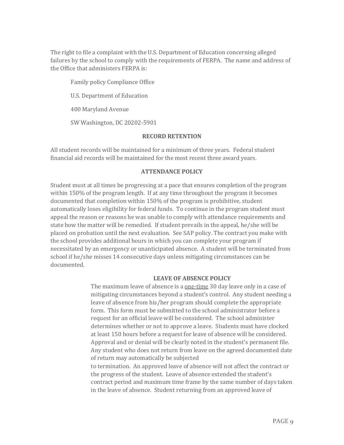The right to file a complaint with the U.S. Department of Education concerning alleged failures by the school to comply with the requirements of FERPA. The name and address of the Office that administers FERPA is:

Family policy Compliance Office U.S. Department of Education 400 Maryland Avenue SW Washington, DC 20202-5901

#### **RECORD RETENTION**

All student records will be maintained for a minimum of three years. Federal student financial aid records will be maintained for the most recent three award years.

#### **ATTENDANCE POLICY**

Student must at all times be progressing at a pace that ensures completion of the program within 150% of the program length. If at any time throughout the program it becomes documented that completion within 150% of the program is prohibitive, student automatically loses eligibility for federal funds. To continue in the program student must appeal the reason or reasons he was unable to comply with attendance requirements and state how the matter will be remedied. If student prevails in the appeal, he/she will be placed on probation until the next evaluation. See SAP policy. The contract you make with the school provides additional hours in which you can complete your program if necessitated by an emergency or unanticipated absence. A student will be terminated from school if he/she misses 14 consecutive days unless mitigating circumstances can be documented.

#### **LEAVE OF ABSENCE POLICY**

The maximum leave of absence is a <u>one-time</u> 30 day leave only in a case of mitigating circumstances beyond a student's control. Any student needing a leave of absence from his/her program should complete the appropriate form. This form must be submitted to the school administrator before a request for an official leave will be considered. The school administer determines whether or not to approve a leave. Students must have clocked at least 150 hours before a request for leave of absence will be considered. Approval and or denial will be clearly noted in the student's permanent file. Any student who does not return from leave on the agreed documented date of return may automatically be subjected to termination. An approved leave of absence will not affect the contract or the progress of the student. Leave of absence extended the student's

contract period and maximum time frame by the same number of days taken in the leave of absence. Student returning from an approved leave of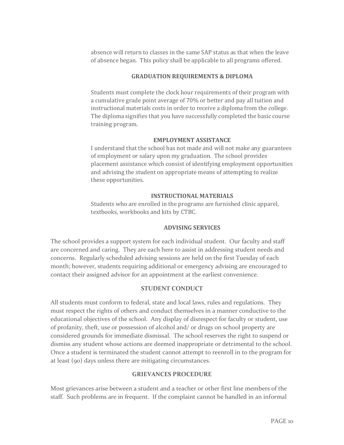absence will return to classes in the same SAP status as that when the leave of absence began. This policy shall be applicable to all programs offered.

#### **GRADUATION REQUIREMENTS & DIPLOMA**

Students must complete the clock hour requirements of their program with a cumulative grade point average of 70% or better and pay all tuition and instructional materials costs in order to receive a diploma from the college. The diploma signifies that you have successfully completed the basic course training program.

#### **EMPLOYMENT ASSISTANCE**

I understand that the school has not made and will not make any guarantees of employment or salary upon my graduation. The school provides placement assistance which consist of identifying employment opportunities and advising the student on appropriate means of attempting to realize these opportunities.

#### **INSTRUCTIONAL MATERIALS**

Students who are enrolled in the programs are furnished clinic apparel, textbooks, workbooks and kits by CTBC.

#### **ADVISING SERVICES**

The school provides a support system for each individual student. Our faculty and staff are concerned and caring. They are each here to assist in addressing student needs and concerns. Regularly scheduled advising sessions are held on the first Tuesday of each month; however, students requiring additional or emergency advising are encouraged to contact their assigned advisor for an appointment at the earliest convenience.

# **STUDENT CONDUCT**

All students must conform to federal, state and local laws, rules and regulations. They must respect the rights of others and conduct themselves in a manner conductive to the educational objectives of the school. Any display of disrespect for faculty or student, use of profanity, theft, use or possession of alcohol and/ or drugs on school property are considered grounds for immediate dismissal. The school reserves the right to suspend or dismiss any student whose actions are deemed inappropriate or detrimental to the school. Once a student is terminated the student cannot attempt to reenroll in to the program for at least (90) days unless there are mitigating circumstances.

#### **GRIEVANCES PROCEDURE**

Most grievances arise between a student and a teacher or other first line members of the staff. Such problems are in frequent. If the complaint cannot be handled in an informal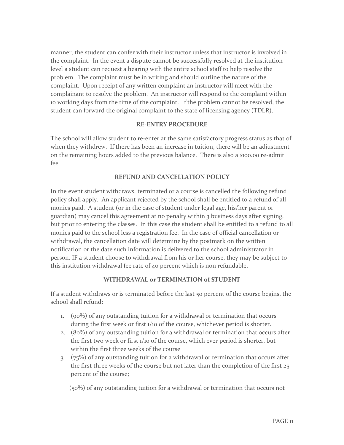manner, the student can confer with their instructor unless that instructor is involved in the complaint. In the event a dispute cannot be successfully resolved at the institution level a student can request a hearing with the entire school staff to help resolve the problem. The complaint must be in writing and should outline the nature of the complaint. Upon receipt of any written complaint an instructor will meet with the complainant to resolve the problem. An instructor will respond to the complaint within 10 working days from the time of the complaint. If the problem cannot be resolved, the student can forward the original complaint to the state of licensing agency (TDLR).

#### **RE-ENTRY PROCEDURE**

The school will allow student to re-enter at the same satisfactory progress status as that of when they withdrew. If there has been an increase in tuition, there will be an adjustment on the remaining hours added to the previous balance. There is also a \$100.00 re-admit fee.

#### **REFUND AND CANCELLATION POLICY**

In the event student withdraws, terminated or a course is cancelled the following refund policy shall apply. An applicant rejected by the school shall be entitled to a refund of all monies paid. A student (or in the case of student under legal age, his/her parent or guardian) may cancel this agreement at no penalty within 3 business days after signing, but prior to entering the classes. In this case the student shall be entitled to a refund to all monies paid to the school less a registration fee. In the case of official cancellation or withdrawal, the cancellation date will determine by the postmark on the written notification or the date such information is delivered to the school administrator in person. IF a student choose to withdrawal from his or her course, they may be subject to this institution withdrawal fee rate of 40 percent which is non refundable.

#### **WITHDRAWAL or TERMINATION of STUDENT**

If a student withdraws or is terminated before the last 50 percent of the course begins, the school shall refund:

- 1. (90%) of any outstanding tuition for a withdrawal or termination that occurs during the first week or first 1/10 of the course, whichever period is shorter.
- 2. (80%) of any outstanding tuition for a withdrawal or termination that occurs after the first two week or first 1/10 of the course, which ever period is shorter, but within the first three weeks of the course
- 3. (75%) of any outstanding tuition for a withdrawal or termination that occurs after the first three weeks of the course but not later than the completion of the first 25 percent of the course;

(50%) of any outstanding tuition for a withdrawal or termination that occurs not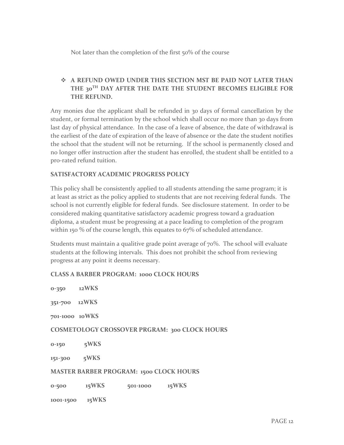Not later than the completion of the first 50% of the course

# **A REFUND OWED UNDER THIS SECTION MST BE PAID NOT LATER THAN THE 30TH DAY AFTER THE DATE THE STUDENT BECOMES ELIGIBLE FOR THE REFUND.**

Any monies due the applicant shall be refunded in 30 days of formal cancellation by the student, or formal termination by the school which shall occur no more than 30 days from last day of physical attendance. In the case of a leave of absence, the date of withdrawal is the earliest of the date of expiration of the leave of absence or the date the student notifies the school that the student will not be returning. If the school is permanently closed and no longer offer instruction after the student has enrolled, the student shall be entitled to a pro-rated refund tuition.

### **SATISFACTORY ACADEMIC PROGRESS POLICY**

This policy shall be consistently applied to all students attending the same program; it is at least as strict as the policy applied to students that are not receiving federal funds. The school is not currently eligible for federal funds. See disclosure statement. In order to be considered making quantitative satisfactory academic progress toward a graduation diploma, a student must be progressing at a pace leading to completion of the program within 150 % of the course length, this equates to 67% of scheduled attendance.

Students must maintain a qualitive grade point average of 70%. The school will evaluate students at the following intervals. This does not prohibit the school from reviewing progress at any point it deems necessary.

#### **CLASS A BARBER PROGRAM: 1000 CLOCK HOURS**

| $0 - 350$                                      | 12WKS |          |                                                      |
|------------------------------------------------|-------|----------|------------------------------------------------------|
| 351-700 12WKS                                  |       |          |                                                      |
| 701-1000 10WKS                                 |       |          |                                                      |
|                                                |       |          | <b>COSMETOLOGY CROSSOVER PRGRAM: 300 CLOCK HOURS</b> |
| $0 - 150$                                      | 5WKS  |          |                                                      |
| 151-300                                        | 5WKS  |          |                                                      |
| <b>MASTER BARBER PROGRAM: 1500 CLOCK HOURS</b> |       |          |                                                      |
| $0 - 500$                                      | 15WKS | 501-1000 | 15WKS                                                |
| 1001-1500                                      | 15WKS |          |                                                      |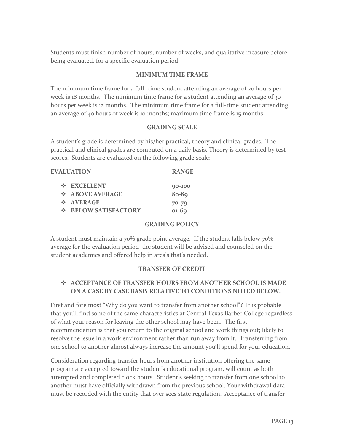Students must finish number of hours, number of weeks, and qualitative measure before being evaluated, for a specific evaluation period.

#### **MINIMUM TIME FRAME**

The minimum time frame for a full -time student attending an average of 20 hours per week is 18 months. The minimum time frame for a student attending an average of 30 hours per week is 12 months. The minimum time frame for a full-time student attending an average of 40 hours of week is 10 months; maximum time frame is 15 months.

#### **GRADING SCALE**

A student's grade is determined by his/her practical, theory and clinical grades. The practical and clinical grades are computed on a daily basis. Theory is determined by test scores. Students are evaluated on the following grade scale:

|                            | <b>EVALUATION</b>         | <b>RANGE</b> |
|----------------------------|---------------------------|--------------|
|                            | <b>☆ EXCELLENT</b>        | 90-100       |
|                            | $\div$ ABOVE AVERAGE      | $80 - 89$    |
|                            | $\div$ AVERAGE            | $70 - 79$    |
| $\mathcal{L}(\mathcal{C})$ | <b>BELOW SATISFACTORY</b> | $01-69$      |

#### **GRADING POLICY**

A student must maintain a  $70\%$  grade point average. If the student falls below  $70\%$ average for the evaluation period the student will be advised and counseled on the student academics and offered help in area's that's needed.

#### **TRANSFER OF CREDIT**

# **ACCEPTANCE OF TRANSFER HOURS FROM ANOTHER SCHOOL IS MADE ON A CASE BY CASE BASIS RELATIVE TO CONDITIONS NOTED BELOW.**

First and fore most "Why do you want to transfer from another school"? It is probable that you'll find some of the same characteristics at Central Texas Barber College regardless of what your reason for leaving the other school may have been. The first recommendation is that you return to the original school and work things out; likely to resolve the issue in a work environment rather than run away from it. Transferring from one school to another almost always increase the amount you'll spend for your education.

Consideration regarding transfer hours from another institution offering the same program are accepted toward the student's educational program, will count as both attempted and completed clock hours. Student's seeking to transfer from one school to another must have officially withdrawn from the previous school. Your withdrawal data must be recorded with the entity that over sees state regulation. Acceptance of transfer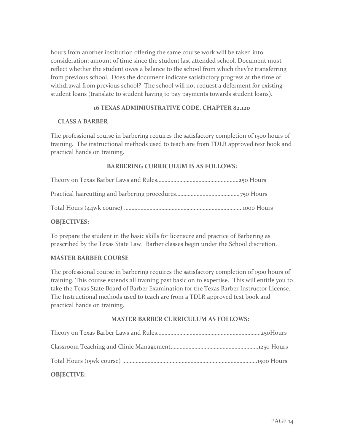hours from another institution offering the same course work will be taken into consideration; amount of time since the student last attended school. Document must reflect whether the student owes a balance to the school from which they're transferring from previous school. Does the document indicate satisfactory progress at the time of withdrawal from previous school? The school will not request a deferment for existing student loans (translate to student having to pay payments towards student loans).

# **16 TEXAS ADMINIUSTRATIVE CODE. CHAPTER 82.120**

#### **CLASS A BARBER**

The professional course in barbering requires the satisfactory completion of 1500 hours of training. The instructional methods used to teach are from TDLR approved text book and practical hands on training.

### **BARBERING CURRICULUM IS AS FOLLOWS:**

#### **OBJECTIVES:**

To prepare the student in the basic skills for licensure and practice of Barbering as prescribed by the Texas State Law. Barber classes begin under the School discretion.

#### **MASTER BARBER COURSE**

The professional course in barbering requires the satisfactory completion of 1500 hours of training. This course extends all training past basic on to expertise. This will entitle you to take the Texas State Board of Barber Examination for the Texas Barber Instructor License. The Instructional methods used to teach are from a TDLR approved text book and practical hands on training.

#### **MASTER BARBER CURRICULUM AS FOLLOWS:**

| <b>OBIECTIVE:</b> |  |
|-------------------|--|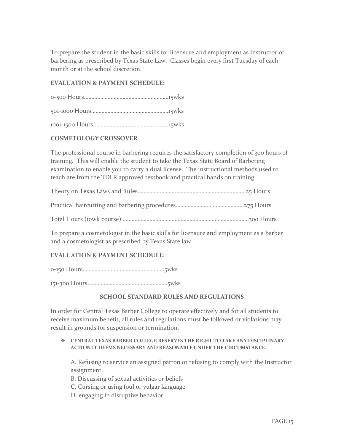To prepare the student in the basic skills for licensure and employment as Instructor of barbering as prescribed by Texas State Law. Classes begin every first Tuesday of each month or at the school discretion.

# **EVALUATION & PAYMENT SCHEDULE:**

501-1000 Hours……………………………………….……15wks

1001-1500 Hours……………………………………………15wks

### **COSMETOLOGY CROSSOVER**

The professional course in barbering requires the satisfactory completion of 300 hours of training. This will enable the student to take the Texas State Board of Barbering examination to enable you to carry a dual license. The instructional methods used to teach are from the TDLR approved textbook and practical hands on training.

Theory on Texas Laws and Rules……………………………………………………………….25 Hours

Practical haircutting and barbering procedures……………………………………….275 Hours

Total Hours (10wk course) ………………………………………………………………………….300 Hours

To prepare a cosmetologist in the basic skills for licensure and employment as a barber and a cosmetologist as prescribed by Texas State law.

# **EVALUATION & PAYMENT SCHEDULE:**

0-150 Hours……………………………………………….5wks

151-300 Hours………………………………………………5wks

#### **SCHOOL STANDARD RULES AND REGULATIONS**

In order for Central Texas Barber College to operate effectively and for all students to receive maximum benefit, all rules and regulations must be followed or violations may result in grounds for suspension or termination.

#### **CENTRAL TEXAS BARBER COLLEGE RESERVES THE RIGHT TO TAKE ANY DISCIPLINARY ACTION IT DEEMS NECESSARY AND REASONABLE UNDER THE CIRCUMSTANCE.**

A. Refusing to service an assigned patron or refusing to comply with the Instructor assignment.

- B. Discussing of sexual activities or beliefs
- C. Cursing or using foul or vulgar language
- D. engaging in disruptive behavior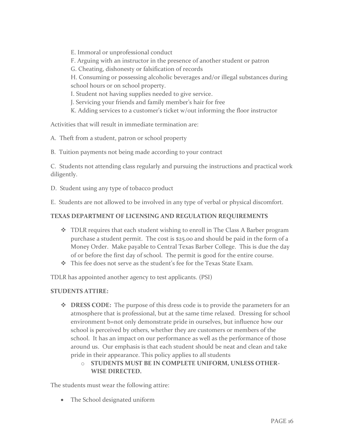E. Immoral or unprofessional conduct

F. Arguing with an instructor in the presence of another student or patron

G. Cheating, dishonesty or falsification of records

H. Consuming or possessing alcoholic beverages and/or illegal substances during school hours or on school property.

I. Student not having supplies needed to give service.

J. Servicing your friends and family member's hair for free

K. Adding services to a customer's ticket w/out informing the floor instructor

Activities that will result in immediate termination are:

A. Theft from a student, patron or school property

B. Tuition payments not being made according to your contract

C. Students not attending class regularly and pursuing the instructions and practical work diligently.

D. Student using any type of tobacco product

E. Students are not allowed to be involved in any type of verbal or physical discomfort.

### **TEXAS DEPARTMENT OF LICENSING AND REGULATION REQUIREMENTS**

- TDLR requires that each student wishing to enroll in The Class A Barber program purchase a student permit. The cost is \$25.00 and should be paid in the form of a Money Order. Make payable to Central Texas Barber College. This is due the day of or before the first day of school. The permit is good for the entire course.
- This fee does not serve as the student's fee for the Texas State Exam.

TDLR has appointed another agency to test applicants. (PSI)

#### **STUDENTS ATTIRE:**

- ◆ **DRESS CODE:** The purpose of this dress code is to provide the parameters for an atmosphere that is professional, but at the same time relaxed. Dressing for school environment b=not only demonstrate pride in ourselves, but influence how our school is perceived by others, whether they are customers or members of the school. It has an impact on our performance as well as the performance of those around us. Our emphasis is that each student should be neat and clean and take pride in their appearance. This policy applies to all students
	- o **STUDENTS MUST BE IN COMPLETE UNIFORM, UNLESS OTHER-WISE DIRECTED.**

The students must wear the following attire:

• The School designated uniform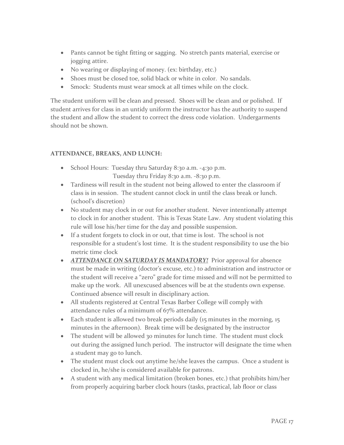- Pants cannot be tight fitting or sagging. No stretch pants material, exercise or jogging attire.
- No wearing or displaying of money. (ex: birthday, etc.)
- Shoes must be closed toe, solid black or white in color. No sandals.
- Smock: Students must wear smock at all times while on the clock.

The student uniform will be clean and pressed. Shoes will be clean and or polished. If student arrives for class in an untidy uniform the instructor has the authority to suspend the student and allow the student to correct the dress code violation. Undergarments should not be shown.

### **ATTENDANCE, BREAKS, AND LUNCH:**

- School Hours: Tuesday thru Saturday 8:30 a.m. -4:30 p.m. Tuesday thru Friday 8:30 a.m. -8:30 p.m.
- Tardiness will result in the student not being allowed to enter the classroom if class is in session. The student cannot clock in until the class break or lunch. (school's discretion)
- No student may clock in or out for another student. Never intentionally attempt to clock in for another student. This is Texas State Law. Any student violating this rule will lose his/her time for the day and possible suspension.
- If a student forgets to clock in or out, that time is lost. The school is not responsible for a student's lost time. It is the student responsibility to use the bio metric time clock
- *ATTENDANCE ON SATURDAY IS MANDATORY!* Prior approval for absence must be made in writing (doctor's excuse, etc.) to administration and instructor or the student will receive a "zero" grade for time missed and will not be permitted to make up the work. All unexcused absences will be at the students own expense. Continued absence will result in disciplinary action.
- All students registered at Central Texas Barber College will comply with attendance rules of a minimum of 67% attendance.
- Each student is allowed two break periods daily (15 minutes in the morning, 15 minutes in the afternoon). Break time will be designated by the instructor
- The student will be allowed 30 minutes for lunch time. The student must clock out during the assigned lunch period. The instructor will designate the time when a student may go to lunch.
- The student must clock out anytime he/she leaves the campus. Once a student is clocked in, he/she is considered available for patrons.
- A student with any medical limitation (broken bones, etc.) that prohibits him/her from properly acquiring barber clock hours (tasks, practical, lab floor or class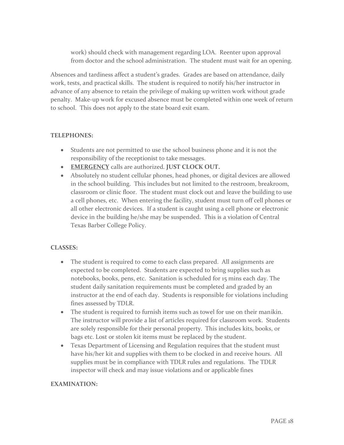work) should check with management regarding LOA. Reenter upon approval from doctor and the school administration. The student must wait for an opening.

Absences and tardiness affect a student's grades. Grades are based on attendance, daily work, tests, and practical skills. The student is required to notify his/her instructor in advance of any absence to retain the privilege of making up written work without grade penalty. Make-up work for excused absence must be completed within one week of return to school. This does not apply to the state board exit exam.

### **TELEPHONES:**

- Students are not permitted to use the school business phone and it is not the responsibility of the receptionist to take messages.
- **EMERGENCY** calls are authorized. **JUST CLOCK OUT.**
- Absolutely no student cellular phones, head phones, or digital devices are allowed in the school building. This includes but not limited to the restroom, breakroom, classroom or clinic floor. The student must clock out and leave the building to use a cell phones, etc. When entering the facility, student must turn off cell phones or all other electronic devices. If a student is caught using a cell phone or electronic device in the building he/she may be suspended. This is a violation of Central Texas Barber College Policy.

# **CLASSES:**

- The student is required to come to each class prepared. All assignments are expected to be completed. Students are expected to bring supplies such as notebooks, books, pens, etc. Sanitation is scheduled for 15 mins each day. The student daily sanitation requirements must be completed and graded by an instructor at the end of each day. Students is responsible for violations including fines assessed by TDLR.
- The student is required to furnish items such as towel for use on their manikin. The instructor will provide a list of articles required for classroom work. Students are solely responsible for their personal property. This includes kits, books, or bags etc. Lost or stolen kit items must be replaced by the student.
- Texas Department of Licensing and Regulation requires that the student must have his/her kit and supplies with them to be clocked in and receive hours. All supplies must be in compliance with TDLR rules and regulations. The TDLR inspector will check and may issue violations and or applicable fines

#### **EXAMINATION:**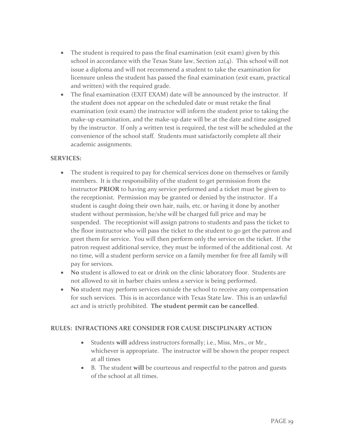- The student is required to pass the final examination (exit exam) given by this school in accordance with the Texas State law, Section  $22(4)$ . This school will not issue a diploma and will not recommend a student to take the examination for licensure unless the student has passed the final examination (exit exam, practical and written) with the required grade.
- The final examination (EXIT EXAM) date will be announced by the instructor. If the student does not appear on the scheduled date or must retake the final examination (exit exam) the instructor will inform the student prior to taking the make-up examination, and the make-up date will be at the date and time assigned by the instructor. If only a written test is required, the test will be scheduled at the convenience of the school staff. Students must satisfactorily complete all their academic assignments.

#### **SERVICES:**

- The student is required to pay for chemical services done on themselves or family members. It is the responsibility of the student to get permission from the instructor **PRIOR** to having any service performed and a ticket must be given to the receptionist. Permission may be granted or denied by the instructor. If a student is caught doing their own hair, nails, etc. or having it done by another student without permission, he/she will be charged full price and may be suspended. The receptionist will assign patrons to students and pass the ticket to the floor instructor who will pass the ticket to the student to go get the patron and greet them for service. You will then perform only the service on the ticket. If the patron request additional service, they must be informed of the additional cost. At no time, will a student perform service on a family member for free all family will pay for services.
- **No** student is allowed to eat or drink on the clinic laboratory floor. Students are not allowed to sit in barber chairs unless a service is being performed.
- **No** student may perform services outside the school to receive any compensation for such services. This is in accordance with Texas State law. This is an unlawful act and is strictly prohibited. **The student permit can be cancelled**.

#### **RULES: INFRACTIONS ARE CONSIDER FOR CAUSE DISCIPLINARY ACTION**

- Students **will** address instructors formally; i.e., Miss, Mrs., or Mr., whichever is appropriate. The instructor will be shown the proper respect at all times
- B. The student **will** be courteous and respectful to the patron and guests of the school at all times.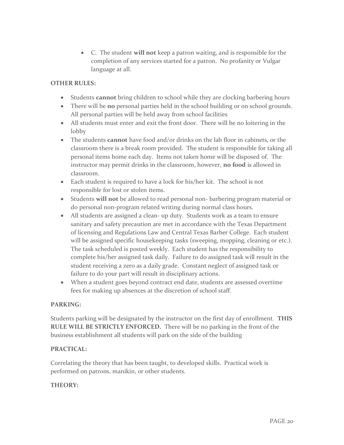C. The student **will not** keep a patron waiting, and is responsible for the completion of any services started for a patron. No profanity or Vulgar language at all.

# **OTHER RULES:**

- Students **cannot** bring children to school while they are clocking barbering hours
- There will be **no** personal parties held in the school building or on school grounds. All personal parties will be held away from school facilities
- All students must enter and exit the front door. There will be no loitering in the lobby
- The students **cannot** have food and/or drinks on the lab floor in cabinets, or the classroom there is a break room provided. The student is responsible for taking all personal items home each day. Items not taken home will be disposed of. The instructor may permit drinks in the classroom, however, **no food** is allowed in classroom.
- Each student is required to have a lock for his/her kit. The school is not responsible for lost or stolen items.
- Students **will not** be allowed to read personal non- barbering program material or do personal non-program related writing during normal class hours.
- All students are assigned a clean- up duty. Students work as a team to ensure sanitary and safety precaution are met in accordance with the Texas Department of licensing and Regulations Law and Central Texas Barber College. Each student will be assigned specific housekeeping tasks (sweeping, mopping, cleaning or etc.). The task scheduled is posted weekly. Each student has the responsibility to complete his/her assigned task daily. Failure to do assigned task will result in the student receiving a zero as a daily grade. Constant neglect of assigned task or failure to do your part will result in disciplinary actions.
- When a student goes beyond contract end date, students are assessed overtime fees for making up absences at the discretion of school staff.

#### **PARKING:**

Students parking will be designated by the instructor on the first day of enrollment. **THIS RULE WILL BE STRICTLY ENFORCED.** There will be no parking in the front of the business establishment all students will park on the side of the building

# **PRACTICAL:**

Correlating the theory that has been taught, to developed skills. Practical work is performed on patrons, manikin, or other students.

#### **THEORY:**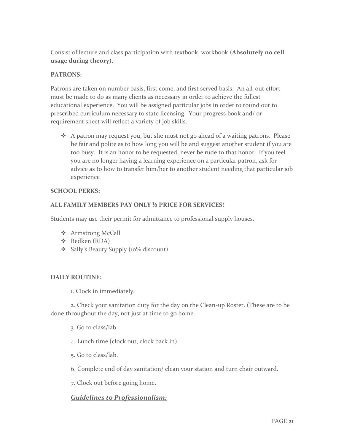Consist of lecture and class participation with textbook, workbook (**Absolutely no cell usage during theory).**

# **PATRONS:**

Patrons are taken on number basis, first come, and first served basis. An all-out effort must be made to do as many clients as necessary in order to achieve the fullest educational experience. You will be assigned particular jobs in order to round out to prescribed curriculum necessary to state licensing. Your progress book and/ or requirement sheet will reflect a variety of job skills.

 A patron may request you, but she must not go ahead of a waiting patrons. Please be fair and polite as to how long you will be and suggest another student if you are too busy. It is an honor to be requested, never be rude to that honor. If you feel you are no longer having a learning experience on a particular patron, ask for advice as to how to transfer him/her to another student needing that particular job experience

#### **SCHOOL PERKS:**

### **ALL FAMILY MEMBERS PAY ONLY ½ PRICE FOR SERVICES!**

Students may use their permit for admittance to professional supply houses.

- **❖** Armstrong McCall
- Redken (RDA)
- Sally's Beauty Supply (10% discount)

#### **DAILY ROUTINE:**

1. Clock in immediately.

2. Check your sanitation duty for the day on the Clean-up Roster. (These are to be done throughout the day, not just at time to go home.

- 3. Go to class/lab.
- 4. Lunch time (clock out, clock back in).
- 5. Go to class/lab.
- 6. Complete end of day sanitation/ clean your station and turn chair outward.
- 7. Clock out before going home.

# *Guidelines to Professionalism:*